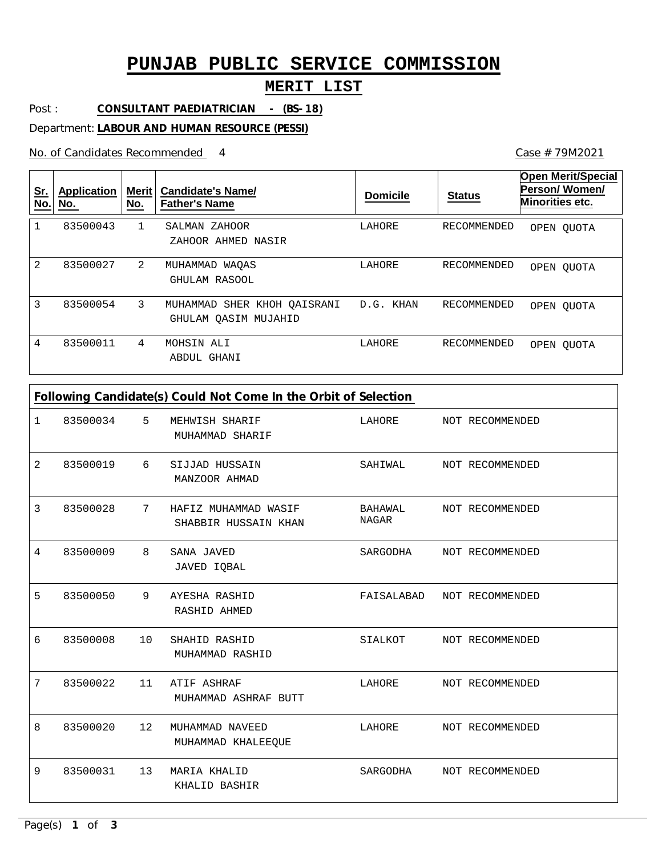# **PUNJAB PUBLIC SERVICE COMMISSION**

### **MERIT LIST**

Post : **CONSULTANT PAEDIATRICIAN - (BS-18)**

Department: **LABOUR AND HUMAN RESOURCE (PESSI)**

No. of Candidates Recommended

4 Case # 79M2021

| <u>Sr.</u><br>No. | Application<br>No. | Merit $ $<br>No. | <b>Candidate's Name/</b><br><b>Father's Name</b>    | <b>Domicile</b> | <b>Status</b> | <b>Open Merit/Special</b><br>Person/Women/<br>Minorities etc. |
|-------------------|--------------------|------------------|-----------------------------------------------------|-----------------|---------------|---------------------------------------------------------------|
|                   | 83500043           | $\mathbf{1}$     | SALMAN ZAHOOR<br>ZAHOOR AHMED NASIR                 | LAHORE          | RECOMMENDED   | OPEN OUOTA                                                    |
| $\mathfrak{D}$    | 83500027           | 2                | MUHAMMAD WAOAS<br>GHULAM RASOOL                     | LAHORE          | RECOMMENDED   | OPEN OUOTA                                                    |
| 3                 | 83500054           | 3                | MUHAMMAD SHER KHOH QAISRANI<br>GHULAM QASIM MUJAHID | D.G. KHAN       | RECOMMENDED   | OPEN OUOTA                                                    |
| 4                 | 83500011           | 4                | MOHSIN ALI<br>ABDUL GHANI                           | LAHORE          | RECOMMENDED   | OPEN OUOTA                                                    |

| 1              | 83500034 | 5                 | MEHWISH SHARIF<br>MUHAMMAD SHARIF            | LAHORE                  | NOT RECOMMENDED |
|----------------|----------|-------------------|----------------------------------------------|-------------------------|-----------------|
| 2              | 83500019 | 6                 | SIJJAD HUSSAIN<br>MANZOOR AHMAD              | SAHIWAL                 | NOT RECOMMENDED |
| 3              | 83500028 | 7                 | HAFIZ MUHAMMAD WASIF<br>SHABBIR HUSSAIN KHAN | BAHAWAL<br><b>NAGAR</b> | NOT RECOMMENDED |
| 4              | 83500009 | 8                 | SANA JAVED<br>JAVED IQBAL                    | SARGODHA                | NOT RECOMMENDED |
| 5              | 83500050 | 9                 | AYESHA RASHID<br>RASHID AHMED                | FAISALABAD              | NOT RECOMMENDED |
| 6              | 83500008 | 10                | SHAHID RASHID<br>MUHAMMAD RASHID             | SIALKOT                 | NOT RECOMMENDED |
| $\overline{7}$ | 83500022 | 11                | ATIF ASHRAF<br>MUHAMMAD ASHRAF BUTT          | LAHORE                  | NOT RECOMMENDED |
| 8              | 83500020 | $12 \overline{ }$ | MUHAMMAD NAVEED<br>MUHAMMAD KHALEEQUE        | LAHORE                  | NOT RECOMMENDED |
| 9              | 83500031 | 13                | MARIA KHALID<br>KHALID BASHIR                | SARGODHA                | NOT RECOMMENDED |
|                |          |                   |                                              |                         |                 |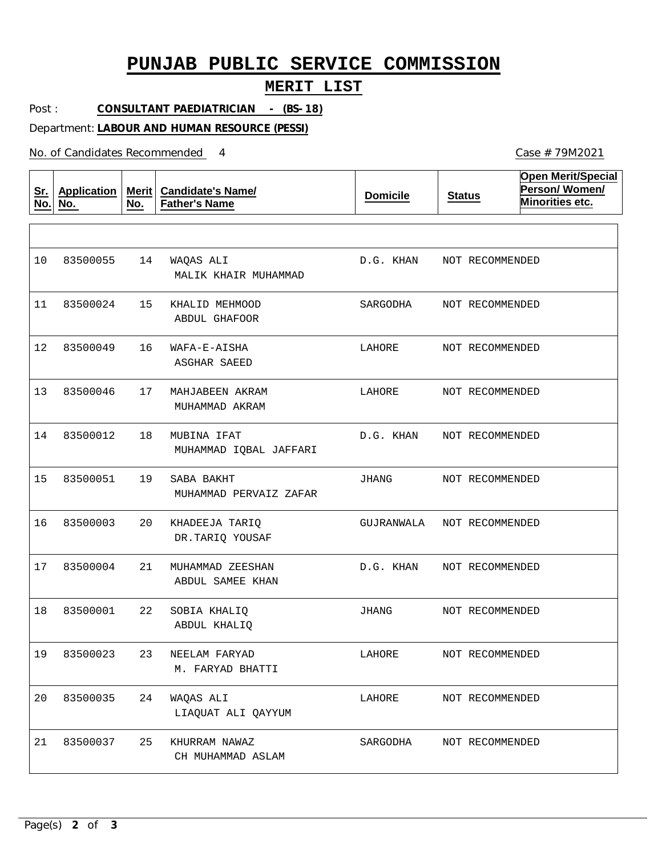## **PUNJAB PUBLIC SERVICE COMMISSION**

### **MERIT LIST**

Post : **CONSULTANT PAEDIATRICIAN - (BS-18)**

Department: **LABOUR AND HUMAN RESOURCE (PESSI)**

No. of Candidates Recommended

| <u>Sr.</u><br>No. | <b>Application</b><br>No. | No. | Merit   Candidate's Name/<br><b>Father's Name</b> | <b>Domicile</b> | <b>Status</b>   | <b>Open Merit/Special</b><br>Person/Women/<br>Minorities etc. |
|-------------------|---------------------------|-----|---------------------------------------------------|-----------------|-----------------|---------------------------------------------------------------|
|                   |                           |     |                                                   |                 |                 |                                                               |
| 10                | 83500055                  | 14  | WAQAS ALI<br>MALIK KHAIR MUHAMMAD                 | D.G. KHAN       | NOT RECOMMENDED |                                                               |
| 11                | 83500024                  | 15  | KHALID MEHMOOD<br><b>ABDUL GHAFOOR</b>            | SARGODHA        | NOT RECOMMENDED |                                                               |
| 12                | 83500049                  | 16  | WAFA-E-AISHA<br>ASGHAR SAEED                      | LAHORE          | NOT RECOMMENDED |                                                               |
| 13                | 83500046                  | 17  | MAHJABEEN AKRAM<br>MUHAMMAD AKRAM                 | LAHORE          | NOT RECOMMENDED |                                                               |
| 14                | 83500012                  | 18  | MUBINA IFAT<br>MUHAMMAD IQBAL JAFFARI             | D.G. KHAN       | NOT RECOMMENDED |                                                               |
| 15                | 83500051                  | 19  | SABA BAKHT<br>MUHAMMAD PERVAIZ ZAFAR              | JHANG           | NOT RECOMMENDED |                                                               |
| 16                | 83500003                  | 20  | KHADEEJA TARIQ<br>DR.TARIQ YOUSAF                 | GUJRANWALA      | NOT RECOMMENDED |                                                               |
| 17                | 83500004                  | 21  | MUHAMMAD ZEESHAN<br>ABDUL SAMEE KHAN              | D.G. KHAN       | NOT RECOMMENDED |                                                               |
| 18                | 83500001                  | 22  | SOBIA KHALIQ<br>ABDUL KHALIO                      | JHANG           | NOT RECOMMENDED |                                                               |
| 19                | 83500023                  |     | 23 NEELAM FARYAD<br>M. FARYAD BHATTI              | LAHORE          | NOT RECOMMENDED |                                                               |
| 20                | 83500035                  | 24  | WAQAS ALI<br>LIAQUAT ALI QAYYUM                   | LAHORE          | NOT RECOMMENDED |                                                               |
| 21                | 83500037                  | 25  | KHURRAM NAWAZ<br>CH MUHAMMAD ASLAM                | SARGODHA        | NOT RECOMMENDED |                                                               |